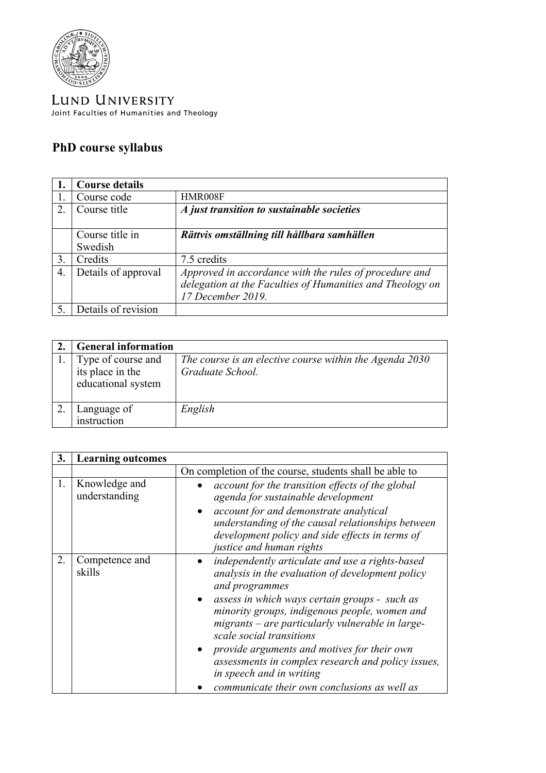

LUND UNIVERSITY Joint Faculties of Humanities and Theology

## **PhD course syllabus**

|    | <b>Course details</b> |                                                                                                                                          |
|----|-----------------------|------------------------------------------------------------------------------------------------------------------------------------------|
|    | Course code           | HMR008F                                                                                                                                  |
| 2. | Course title          | A just transition to sustainable societies                                                                                               |
|    | Course title in       | Rättvis omställning till hållbara samhällen                                                                                              |
|    | Swedish               |                                                                                                                                          |
| 3. | Credits               | 7.5 credits                                                                                                                              |
| 4. | Details of approval   | Approved in accordance with the rules of procedure and<br>delegation at the Faculties of Humanities and Theology on<br>17 December 2019. |
|    | Details of revision   |                                                                                                                                          |

| <b>General information</b>                                   |                                                                             |
|--------------------------------------------------------------|-----------------------------------------------------------------------------|
| Type of course and<br>its place in the<br>educational system | The course is an elective course within the Agenda 2030<br>Graduate School. |
| Language of<br>instruction                                   | English                                                                     |

| 3. | <b>Learning outcomes</b>       |                                                                                                                                                                                                                                                                                                                                                                                                                                                                                          |
|----|--------------------------------|------------------------------------------------------------------------------------------------------------------------------------------------------------------------------------------------------------------------------------------------------------------------------------------------------------------------------------------------------------------------------------------------------------------------------------------------------------------------------------------|
|    |                                | On completion of the course, students shall be able to                                                                                                                                                                                                                                                                                                                                                                                                                                   |
| 1. | Knowledge and<br>understanding | account for the transition effects of the global<br>agenda for sustainable development<br>account for and demonstrate analytical<br>understanding of the causal relationships between<br>development policy and side effects in terms of<br>justice and human rights                                                                                                                                                                                                                     |
| 2. | Competence and<br>skills       | independently articulate and use a rights-based<br>analysis in the evaluation of development policy<br>and programmes<br>assess in which ways certain groups - such as<br>minority groups, indigenous people, women and<br>migrants – are particularly vulnerable in large-<br>scale social transitions<br>provide arguments and motives for their own<br>assessments in complex research and policy issues,<br>in speech and in writing<br>communicate their own conclusions as well as |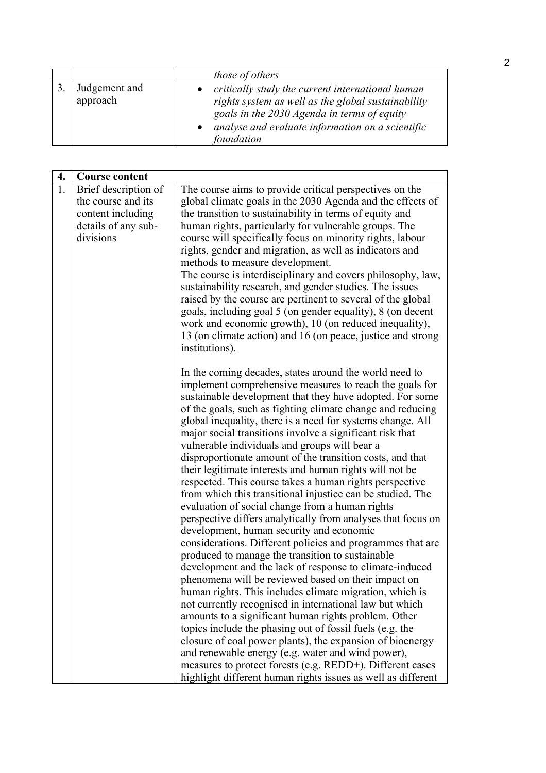|                           | those of others                                                                                                                                                                                                         |
|---------------------------|-------------------------------------------------------------------------------------------------------------------------------------------------------------------------------------------------------------------------|
| Judgement and<br>approach | critically study the current international human<br>rights system as well as the global sustainability<br>goals in the 2030 Agenda in terms of equity<br>analyse and evaluate information on a scientific<br>foundation |

| 4. | <b>Course content</b> |                                                                                                                 |
|----|-----------------------|-----------------------------------------------------------------------------------------------------------------|
| 1. | Brief description of  | The course aims to provide critical perspectives on the                                                         |
|    | the course and its    | global climate goals in the 2030 Agenda and the effects of                                                      |
|    | content including     | the transition to sustainability in terms of equity and                                                         |
|    | details of any sub-   | human rights, particularly for vulnerable groups. The                                                           |
|    | divisions             | course will specifically focus on minority rights, labour                                                       |
|    |                       | rights, gender and migration, as well as indicators and                                                         |
|    |                       | methods to measure development.                                                                                 |
|    |                       | The course is interdisciplinary and covers philosophy, law,                                                     |
|    |                       | sustainability research, and gender studies. The issues                                                         |
|    |                       | raised by the course are pertinent to several of the global                                                     |
|    |                       | goals, including goal 5 (on gender equality), 8 (on decent                                                      |
|    |                       | work and economic growth), 10 (on reduced inequality),                                                          |
|    |                       | 13 (on climate action) and 16 (on peace, justice and strong<br>institutions).                                   |
|    |                       |                                                                                                                 |
|    |                       | In the coming decades, states around the world need to                                                          |
|    |                       | implement comprehensive measures to reach the goals for                                                         |
|    |                       | sustainable development that they have adopted. For some                                                        |
|    |                       | of the goals, such as fighting climate change and reducing                                                      |
|    |                       | global inequality, there is a need for systems change. All                                                      |
|    |                       | major social transitions involve a significant risk that                                                        |
|    |                       | vulnerable individuals and groups will bear a                                                                   |
|    |                       | disproportionate amount of the transition costs, and that                                                       |
|    |                       | their legitimate interests and human rights will not be                                                         |
|    |                       | respected. This course takes a human rights perspective                                                         |
|    |                       | from which this transitional injustice can be studied. The                                                      |
|    |                       | evaluation of social change from a human rights<br>perspective differs analytically from analyses that focus on |
|    |                       | development, human security and economic                                                                        |
|    |                       | considerations. Different policies and programmes that are                                                      |
|    |                       | produced to manage the transition to sustainable                                                                |
|    |                       | development and the lack of response to climate-induced                                                         |
|    |                       | phenomena will be reviewed based on their impact on                                                             |
|    |                       | human rights. This includes climate migration, which is                                                         |
|    |                       | not currently recognised in international law but which                                                         |
|    |                       | amounts to a significant human rights problem. Other                                                            |
|    |                       | topics include the phasing out of fossil fuels (e.g. the                                                        |
|    |                       | closure of coal power plants), the expansion of bioenergy                                                       |
|    |                       | and renewable energy (e.g. water and wind power),                                                               |
|    |                       | measures to protect forests (e.g. REDD+). Different cases                                                       |
|    |                       | highlight different human rights issues as well as different                                                    |